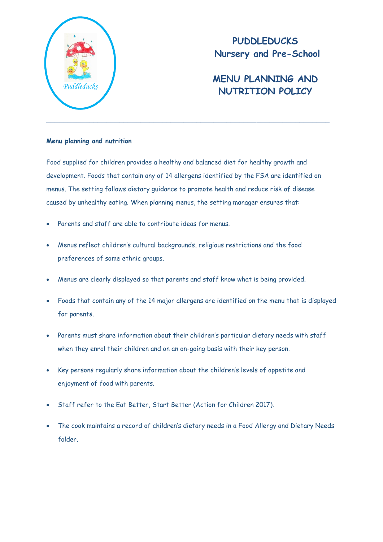

**PUDDLEDUCKS Nursery and Pre-School**

## **MENU PLANNING AND**  Puddleducks *Puddleducks Puddleducks Puddleducks*

## **Menu planning and nutrition**

Food supplied for children provides a healthy and balanced diet for healthy growth and development. Foods that contain any of 14 allergens identified by the FSA are identified on menus. The setting follows dietary guidance to promote health and reduce risk of disease caused by unhealthy eating. When planning menus, the setting manager ensures that:

- Parents and staff are able to contribute ideas for menus.
- Menus reflect children's cultural backgrounds, religious restrictions and the food preferences of some ethnic groups.
- Menus are clearly displayed so that parents and staff know what is being provided.
- Foods that contain any of the 14 major allergens are identified on the menu that is displayed for parents.
- Parents must share information about their children's particular dietary needs with staff when they enrol their children and on an on-going basis with their key person.
- Key persons regularly share information about the children's levels of appetite and enjoyment of food with parents.
- Staff refer to the Eat Better, Start Better (Action for Children 2017).
- The cook maintains a record of children's dietary needs in a Food Allergy and Dietary Needs folder.